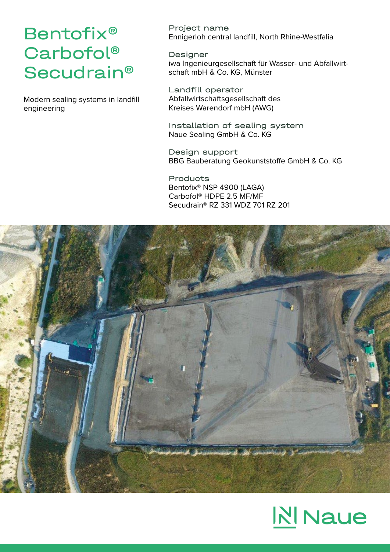## Bentofix® Carbofol® **Secudrain®**

Modern sealing systems in landfill engineering

Project name Ennigerloh central landfill, North Rhine-Westfalia

Designer iwa Ingenieurgesellschaft für Wasser- und Abfallwirtschaft mbH & Co. KG, Münster

Landfill operator Abfallwirtschaftsgesellschaft des Kreises Warendorf mbH (AWG)

Installation of sealing system Naue Sealing GmbH & Co. KG

Design support BBG Bauberatung Geokunststoffe GmbH & Co. KG

**Products** Bentofix® NSP 4900 (LAGA) Carbofol® HDPE 2.5 MF/MF Secudrain® RZ 331 WDZ 701 RZ 201



## **N** Naue